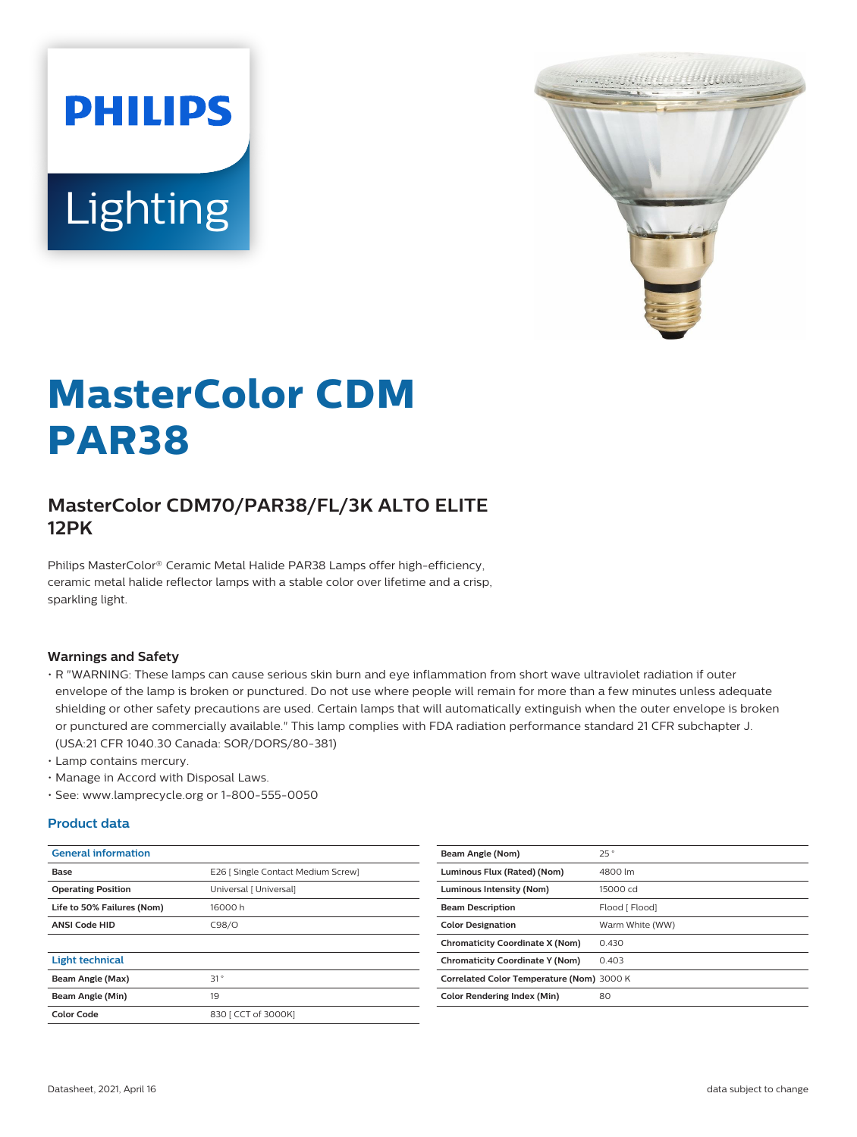



# **MasterColor CDM PAR38**

## **MasterColor CDM70/PAR38/FL/3K ALTO ELITE 12PK**

Philips MasterColor® Ceramic Metal Halide PAR38 Lamps offer high-efficiency, ceramic metal halide reflector lamps with a stable color over lifetime and a crisp, sparkling light.

#### **Warnings and Safety**

- R "WARNING: These lamps can cause serious skin burn and eye inflammation from short wave ultraviolet radiation if outer envelope of the lamp is broken or punctured. Do not use where people will remain for more than a few minutes unless adequate shielding or other safety precautions are used. Certain lamps that will automatically extinguish when the outer envelope is broken or punctured are commercially available." This lamp complies with FDA radiation performance standard 21 CFR subchapter J. (USA:21 CFR 1040.30 Canada: SOR/DORS/80-381)
- Lamp contains mercury.
- Manage in Accord with Disposal Laws.
- See: www.lamprecycle.org or 1-800-555-0050

#### **Product data**

| <b>General information</b> |                                    | Beam Angle (Nom)                     |
|----------------------------|------------------------------------|--------------------------------------|
| Base                       | E26   Single Contact Medium Screw] | Luminous Flux (Rated) (Nom)          |
| <b>Operating Position</b>  | Universal [ Universal]             | <b>Luminous Intensity (Nom)</b>      |
| Life to 50% Failures (Nom) | 16000h                             | <b>Beam Description</b>              |
| <b>ANSI Code HID</b>       | C98/O                              | <b>Color Designation</b>             |
|                            |                                    | <b>Chromaticity Coordinate X (No</b> |
| <b>Light technical</b>     |                                    | <b>Chromaticity Coordinate Y (No</b> |
| Beam Angle (Max)           | 31°                                | <b>Correlated Color Temperature</b>  |
| Beam Angle (Min)           | 19                                 | <b>Color Rendering Index (Min)</b>   |
| Color Code                 | 830   CCT of 3000KI                |                                      |
|                            |                                    |                                      |

| Beam Angle (Nom)                          | 25°             |
|-------------------------------------------|-----------------|
| Luminous Flux (Rated) (Nom)               | 4800 lm         |
| Luminous Intensity (Nom)                  | 15000 cd        |
| <b>Beam Description</b>                   | Flood [ Flood]  |
| <b>Color Designation</b>                  | Warm White (WW) |
| <b>Chromaticity Coordinate X (Nom)</b>    | 0.430           |
| <b>Chromaticity Coordinate Y (Nom)</b>    | 0.403           |
| Correlated Color Temperature (Nom) 3000 K |                 |
| Color Rendering Index (Min)               | 80              |
|                                           |                 |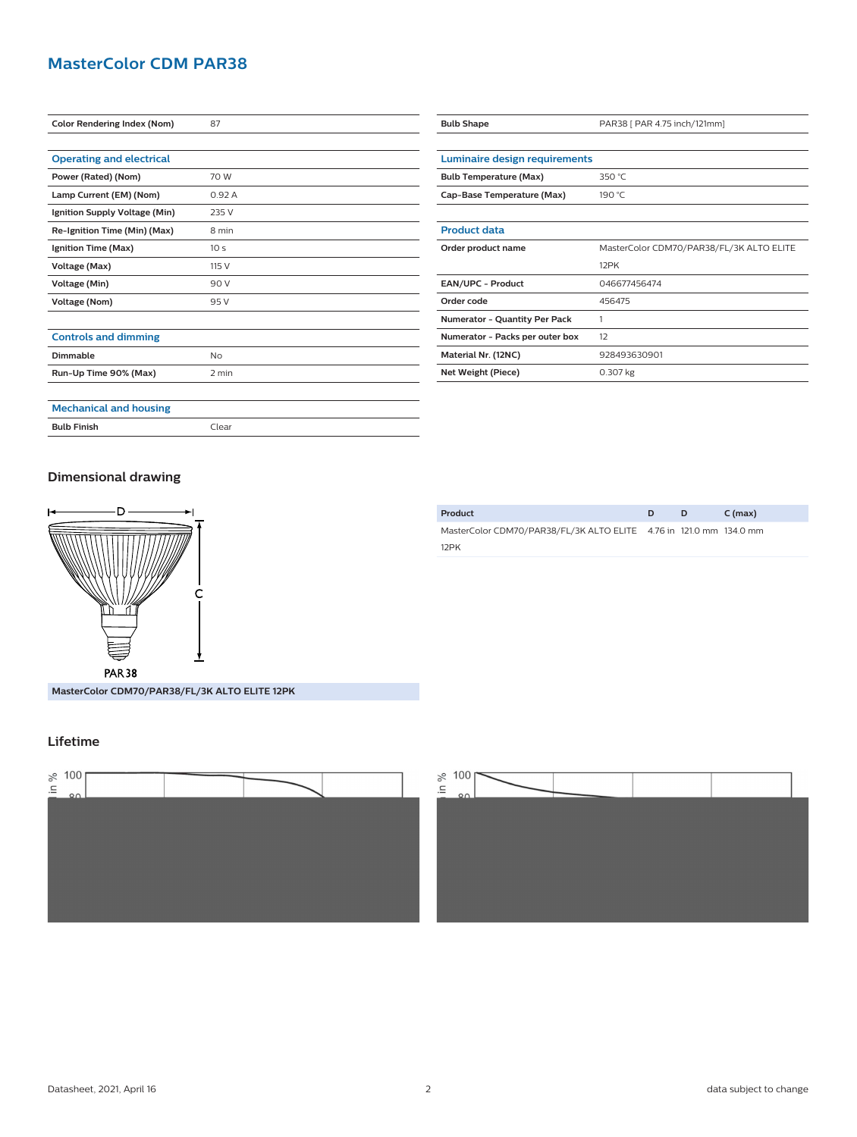## **MasterColor CDM PAR38**

| <b>Color Rendering Index (Nom)</b> | 87              |
|------------------------------------|-----------------|
|                                    |                 |
| <b>Operating and electrical</b>    |                 |
| Power (Rated) (Nom)                | 70 W            |
| Lamp Current (EM) (Nom)            | 0.92A           |
| Ignition Supply Voltage (Min)      | 235 V           |
| Re-Ignition Time (Min) (Max)       | 8 min           |
| Ignition Time (Max)                | 10 <sub>s</sub> |
| Voltage (Max)                      | 115 V           |
| <b>Voltage (Min)</b>               | 90 V            |
| Voltage (Nom)                      | 95 V            |
|                                    |                 |
| <b>Controls and dimming</b>        |                 |
| Dimmable                           | No              |
| Run-Up Time 90% (Max)              | 2 min           |
|                                    |                 |
| <b>Mechanical and housing</b>      |                 |

| <b>Bulb Shape</b>                    | PAR38   PAR 4.75 inch/121mm]             |
|--------------------------------------|------------------------------------------|
|                                      |                                          |
| <b>Luminaire design requirements</b> |                                          |
| <b>Bulb Temperature (Max)</b>        | 350 $°C$                                 |
| Cap-Base Temperature (Max)           | 190 °C                                   |
|                                      |                                          |
| <b>Product data</b>                  |                                          |
| Order product name                   | MasterColor CDM70/PAR38/FL/3K ALTO ELITE |
|                                      | 12PK                                     |
| <b>EAN/UPC - Product</b>             | 046677456474                             |
| Order code                           | 456475                                   |
| <b>Numerator - Quantity Per Pack</b> | 1                                        |
| Numerator - Packs per outer box      | 12                                       |
| Material Nr. (12NC)                  | 928493630901                             |
| Net Weight (Piece)                   | 0.307 kg                                 |

### **Dimensional drawing**



**MasterColor CDM70/PAR38/FL/3K ALTO ELITE 12PK**

## **Lifetime**





| <b>Bulb Finish</b> | Clear |
|--------------------|-------|
|                    |       |

| Product                                                            | D | C (max) |
|--------------------------------------------------------------------|---|---------|
| MasterColor CDM70/PAR38/FL/3K ALTO ELITE 4.76 in 121.0 mm 134.0 mm |   |         |
| 12PK                                                               |   |         |